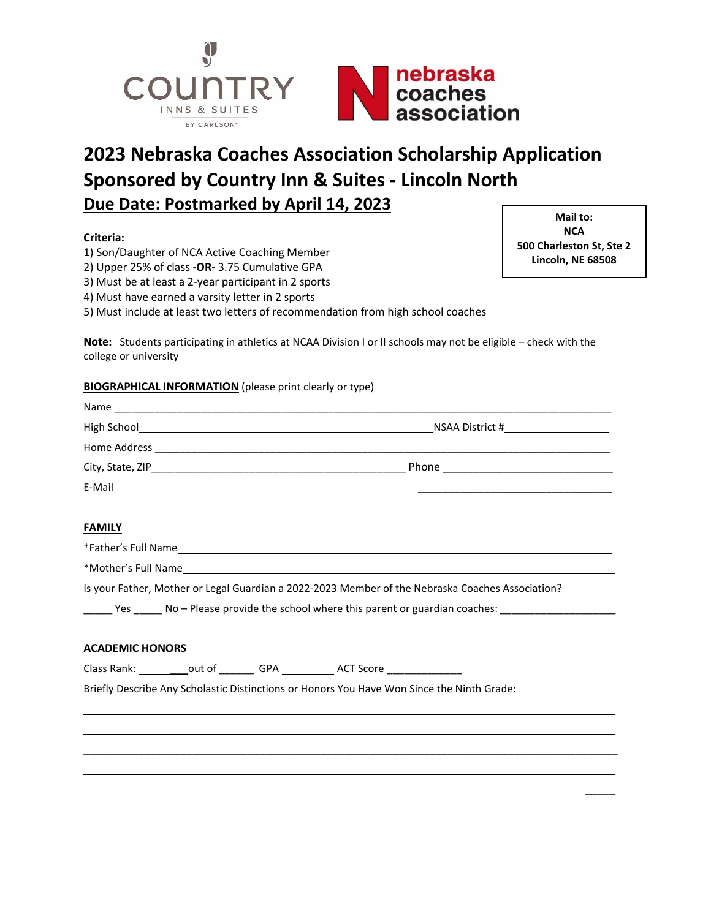

# **2023 Nebraska Coaches Association Scholarship Application Sponsored by Country Inn & Suites - Lincoln North Due Date: Postmarked by April 14, 2023**

## **Criteria:**

- 1) Son/Daughter of NCA Active Coaching Member
- 2) Upper 25% of class **-OR-** 3.75 Cumulative GPA
- 3) Must be at least a 2-year participant in 2 sports
- 4) Must have earned a varsity letter in 2 sports
- 5) Must include at least two letters of recommendation from high school coaches

**Note:** Students participating in athletics at NCAA Division I or II schools may not be eligible – check with the college or university

### **BIOGRAPHICAL INFORMATION** (please print clearly or type)

| Name             |                 |
|------------------|-----------------|
| High School      | NSAA District # |
| Home Address     |                 |
| City, State, ZIP | Phone           |
| E-Mail           |                 |

#### **FAMILY**

\*Father's Full Name \_

\_\_\_\_\_\_\_\_\_\_\_\_\_\_\_\_\_\_\_\_\_\_\_\_\_\_\_\_\_\_\_\_\_\_\_\_\_\_\_\_\_\_\_\_\_\_\_\_\_\_\_\_\_\_\_\_\_\_\_\_\_\_\_\_\_\_\_\_\_\_\_\_\_\_\_\_\_\_\_\_\_\_\_\_\_\_\_\_

\*Mother's Full Name \_

Is your Father, Mother or Legal Guardian a 2022-2023 Member of the Nebraska Coaches Association?

 $\Box$  Yes  $\Box$  No – Please provide the school where this parent or guardian coaches:  $\Box$ 

#### **ACADEMIC HONORS**

Class Rank: \_\_\_\_\_\_\_\_\_\_out of \_\_\_\_\_\_\_\_ GPA \_\_\_\_\_\_\_\_\_\_ ACT Score \_\_\_\_\_\_\_\_\_\_\_\_\_\_\_\_\_

Briefly Describe Any Scholastic Distinctions or Honors You Have Won Since the Ninth Grade:

**Mail to: NCA 500 Charleston St, Ste 2 Lincoln, NE 68508**

> $\overline{\phantom{a}}$  $\overline{\phantom{a}}$

> $\overline{\phantom{a}}$  $\overline{\phantom{a}}$